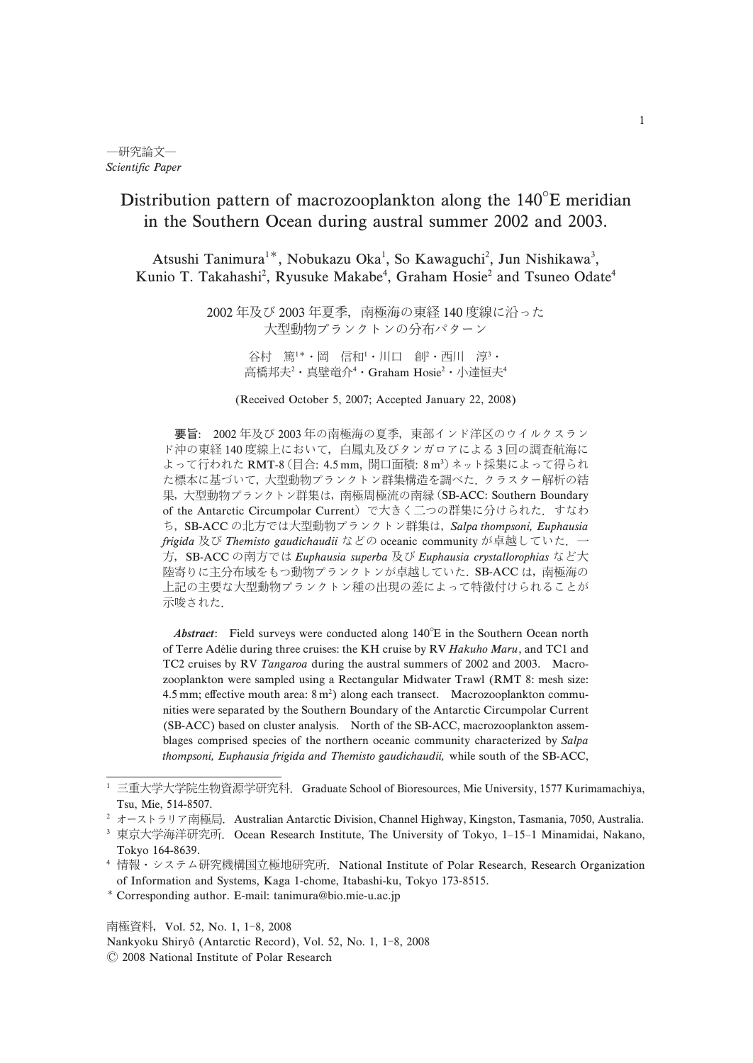# Distribution pattern of macrozooplankton along the  $140^{\circ}$ E meridian in the Southern Ocean during austral summer 2002 and 2003.

Atsushi Tanimura<sup>1\*</sup>, Nobukazu Oka<sup>1</sup>, So Kawaguchi<sup>2</sup>, Jun Nishikawa<sup>3</sup>, Kunio T. Takahashi<sup>2</sup>, Ryusuke Makabe<sup>4</sup>, Graham Hosie<sup>2</sup> and Tsuneo Odate<sup>4</sup>

> 2002 年及び 2003 年夏季, 南極海の東経 140 度線に沿った 大型動物プランクトンの分布パターン

> > 谷村 篤'\*・岡 信和'・川口 創'・西川 淳'・ 高橋邦夫<sup>2</sup>・真壁竜介<sup>4</sup>・Graham Hosie<sup>2</sup>・小達恒夫<sup>4</sup>

(Received October 5, 2007; Accepted January 22, 2008)

要旨: 2002年及び 2003年の南極海の夏季, 東部インド洋区のウイルクスラン ド沖の東経140度線上において、白鳳丸及びタンガロアによる3回の調査航海に よって行われた RMT-8 (目合: 4.5 mm, 開口面積: 8m3) ネット採集によって得られ た標本に基づいて、大型動物プランクトン群集構造を調べた、クラスター解析の結 果, 大型動物プランクトン群集は, 南極周極流の南縁 (SB-ACC: Southern Boundary of the Antarctic Circumpolar Current) で大きく二つの群集に分けられた. すなわ ち, SB-ACC の北方では大型動物プランクトン群集は, Salpa thompsoni, Euphausia frigida 及び Themisto gaudichaudii などの oceanic community が卓越していた. 一 方, SB-ACC の南方では Euphausia superba 及び Euphausia crystallorophias など大 陸寄りに主分布域をもつ動物プランクトンが卓越していた. SB-ACC は, 南極海の 示唆された. 上記の主要な大型動物プランクトン種の出現の差によって特徴付けられることが

Abstract: Field surveys were conducted along 140°E in the Southern Ocean north (SB-ACC) based on cluster analysis. North of the SB-ACC, macrozooplankton assemof Terre Adélie during three cruises: the KH cruise by RV Hakuho Maru, and TC1 and TC2 cruises by RV Tangaroa during the austral summers of 2002 and 2003. Macrozooplankton were sampled using a Rectangular Midwater Trawl (RMT 8: mesh size: 4.5 mm; effective mouth area:  $8 \text{ m}^2$ ) along each transect. Macrozooplankton communities were separated by the Southern Boundary of the Antarctic Circumpolar Current blages comprised species of the northern oceanic community characterized by Salpa thompsoni, Euphausia frigida and Themisto gaudichaudii, while south of the SB-ACC,

南極資料, Vol. 52, No. 1, 1-8, 2008 Nankyoku Shiryô (Antarctic Record), Vol. 52, No. 1, 1-8, 2008

<sup>&</sup>lt;sup>1</sup> 三重大学大学院生物資源学研究科. Graduate School of Bioresources, Mie University, 1577 Kurimamachiya, Tsu, Mie, 514-8507.

<sup>&</sup>lt;sup>2</sup> オーストラリア南極局.Australian Antarctic Division, Channel Highway, Kingston, Tasmania, 7050, Australia.

<sup>&</sup>lt;sup>3</sup> 東京大学海洋研究所. Ocean Research Institute, The University of Tokyo, 1-15-1 Minamidai, Nakano, Tokyo 164-8639.

<sup>&</sup>lt;sup>4</sup> 情報・システム研究機構国立極地研究所. National Institute of Polar Research, Research Organization of Information and Systems, Kaga 1-chome, Itabashi-ku, Tokyo 173-8515.

<sup>-</sup> Corresponding author. E-mail: tanimura@bio.mie-u.ac.jp

 $@$  2008 National Institute of Polar Research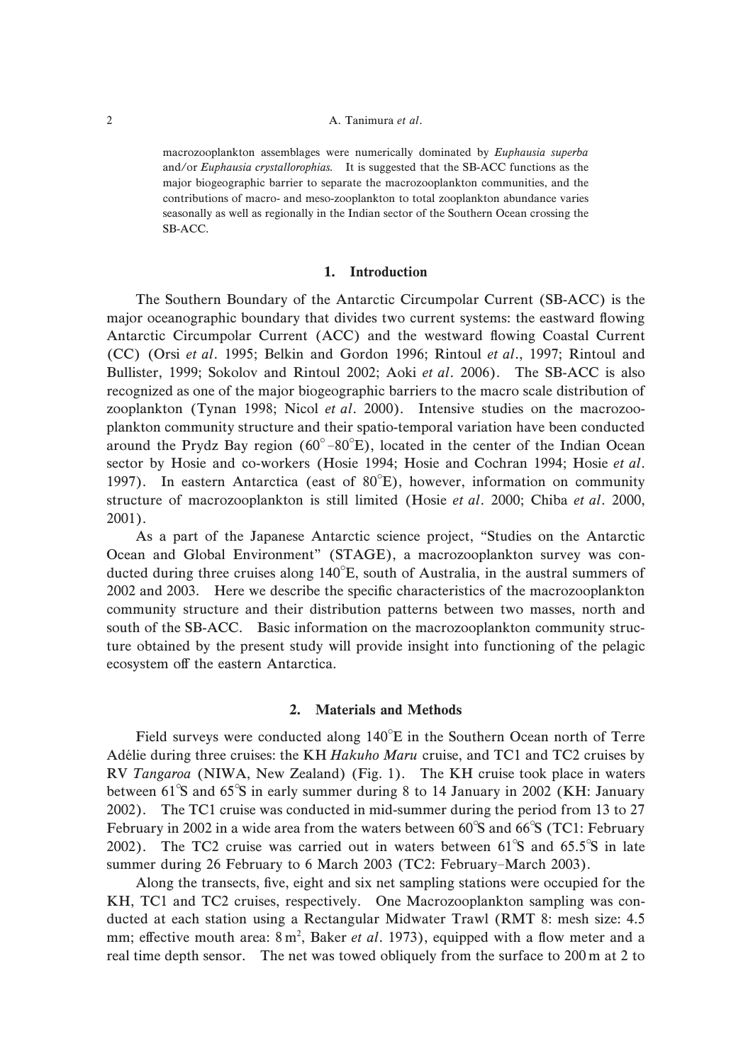### 2 A. Tanimura et al.

macrozooplankton assemblages were numerically dominated by Euphausia superba and/or Euphausia crystallorophias. It is suggested that the SB-ACC functions as the major biogeographic barrier to separate the macrozooplankton communities, and the contributions of macro- and meso-zooplankton to total zooplankton abundance varies seasonally as well as regionally in the Indian sector of the Southern Ocean crossing the SB-ACC.

#### . Introduction  $\mathbf{1}$ .

around the Prydz Bay region  $(60^{\circ}-80^{\circ}E)$ , located in the center of the Indian Ocean 1997). In eastern Antarctica (east of 80°E), however, information on community The Southern Boundary of the Antarctic Circumpolar Current (SB-ACC) is the major oceanographic boundary that divides two current systems: the eastward flowing Antarctic Circumpolar Current (ACC) and the westward flowing Coastal Current (CC) (Orsi et al. 1995; Belkin and Gordon 1996; Rintoul et al., 1997; Rintoul and Bullister, 1999; Sokolov and Rintoul 2002; Aoki et al. 2006). The SB-ACC is also recognized as one of the major biogeographic barriers to the macro scale distribution of zooplankton (Tynan 1998; Nicol et al. 2000). Intensive studies on the macrozooplankton community structure and their spatio-temporal variation have been conducted sector by Hosie and co-workers (Hosie 1994; Hosie and Cochran 1994; Hosie et al. structure of macrozooplankton is still limited (Hosie et al. 2000; Chiba et al. 2000,  $2001$ ).

ducted during three cruises along 140°E, south of Australia, in the austral summers of As a part of the Japanese Antarctic science project, "Studies on the Antarctic Ocean and Global Environment" (STAGE), a macrozooplankton survey was con-2002 and 2003. Here we describe the specific characteristics of the macrozooplankton community structure and their distribution patterns between two masses, north and south of the SB-ACC. Basic information on the macrozooplankton community structure obtained by the present study will provide insight into functioning of the pelagic ecosystem off the eastern Antarctica.

## 2. Materials and Methods

Field surveys were conducted along 140°E in the Southern Ocean north of Terre between 61°S and 65°S in early summer during 8 to 14 January in 2002 (KH: January February in 2002 in a wide area from the waters between 60°S and 66°S (TC1: February 2002). The TC2 cruise was carried out in waters between  $61^{\circ}$ S and  $65.5^{\circ}$ S in late summer during 26 February to 6 March 2003 (TC2: February-March 2003). Adélie during three cruises: the KH Hakuho Maru cruise, and TC1 and TC2 cruises by RV Tangaroa (NIWA, New Zealand) (Fig. 1). The KH cruise took place in waters 2002). The TC1 cruise was conducted in mid-summer during the period from 13 to  $27$ 

Along the transects, five, eight and six net sampling stations were occupied for the KH, TC1 and TC2 cruises, respectively. One Macrozooplankton sampling was conducted at each station using a Rectangular Midwater Trawl (RMT 8: mesh size: 4.5 mm; effective mouth area: 8 m<sup>2</sup>, Baker et al. 1973), equipped with a flow meter and a real time depth sensor. The net was towed obliquely from the surface to  $200 \text{ m}$  at  $2$  to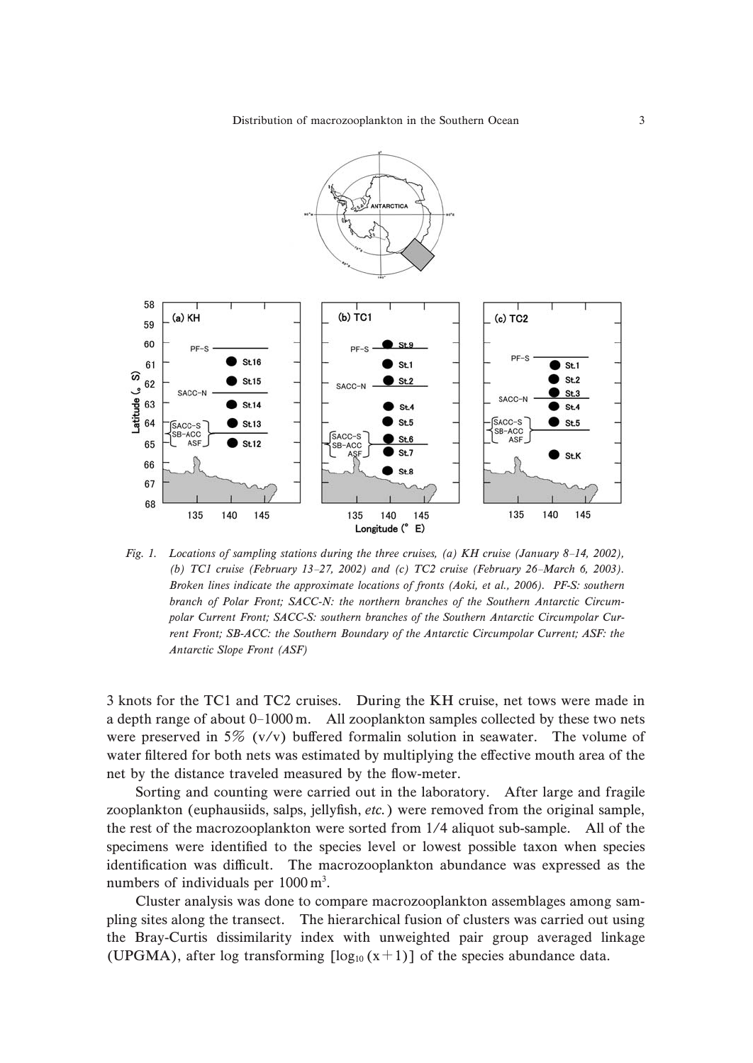Distribution of macrozooplankton in the Southern Ocean 3



Fig. 1. Locations of sampling stations during the three cruises, (a) KH cruise (January 8-14, 2002), (b) TC1 cruise (February 13-27, 2002) and (c) TC2 cruise (February 26-March 6, 2003). Broken lines indicate the approximate locations of fronts (Aoki, et al., 2006). PF-S: southern polar Current Front; SACC-S: southern branches of the Southern Antarctic Circumpolar Curbranch of Polar Front; SACC-N: the northern branches of the Southern Antarctic Circumrent Front; SB-ACC: the Southern Boundary of the Antarctic Circumpolar Current; ASF: the Antarctic Slope Front (ASF)

a depth range of about 0-1000 m. All zooplankton samples collected by these two nets 3 knots for the TC1 and TC2 cruises. During the KH cruise, net tows were made in were preserved in 5% (v/v) buffered formalin solution in seawater. The volume of water filtered for both nets was estimated by multiplying the effective mouth area of the net by the distance traveled measured by the flow-meter.

Sorting and counting were carried out in the laboratory. After large and fragile zooplankton (euphausiids, salps, jellyfish, etc.) were removed from the original sample, the rest of the macrozooplankton were sorted from 1/4 aliquot sub-sample. All of the specimens were identified to the species level or lowest possible taxon when species identification was difficult. The macrozooplankton abundance was expressed as the numbers of individuals per  $1000 \text{ m}^3$ .

(UPGMA), after log transforming  $[\log_{10}(x+1)]$  of the species abundance data. Cluster analysis was done to compare macrozooplankton assemblages among sampling sites along the transect. The hierarchical fusion of clusters was carried out using the Bray-Curtis dissimilarity index with unweighted pair group averaged linkage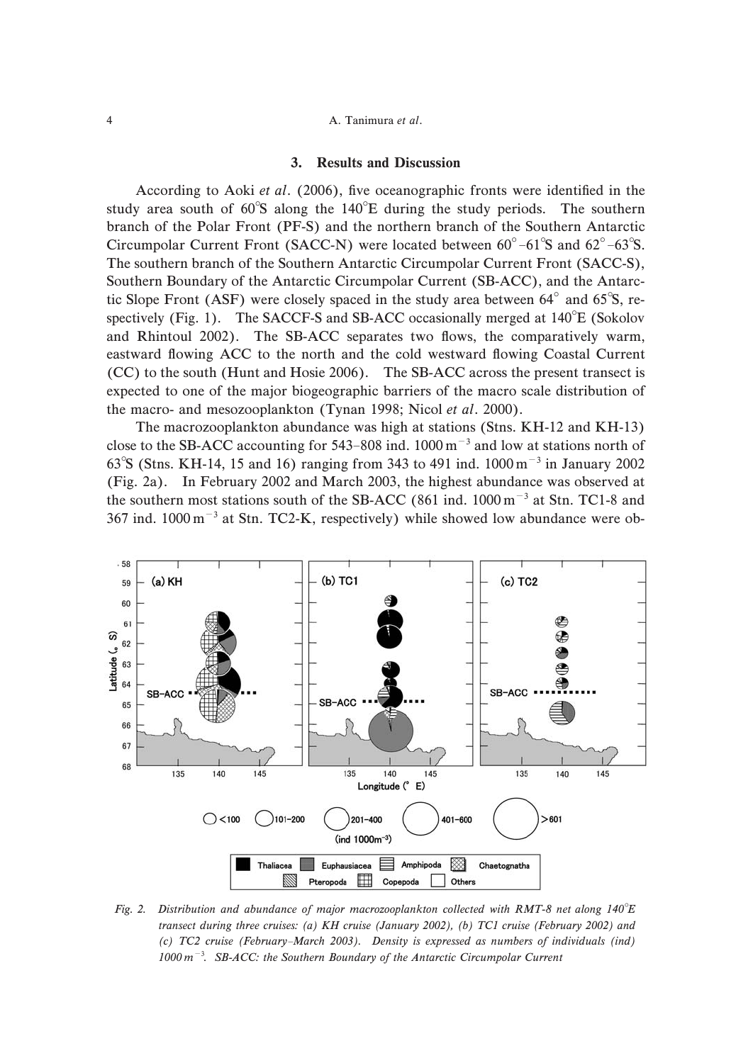## 3. Results and Discussion

Circumpolar Current Front (SACC-N) were located between  $60^{\circ}$  – $61^{\circ}$ S and  $62^{\circ}$  – $63^{\circ}$ S. tic Slope Front (ASF) were closely spaced in the study area between  $64^{\circ}$  and  $65^{\circ}$ S, respectively (Fig. 1). The SACCF-S and SB-ACC occasionally merged at  $140^{\circ}E$  (Sokolov According to Aoki et al. (2006), five oceanographic fronts were identified in the study area south of  $60^{\circ}$ S along the  $140^{\circ}$ E during the study periods. The southern branch of the Polar Front (PF-S) and the northern branch of the Southern Antarctic The southern branch of the Southern Antarctic Circumpolar Current Front (SACC-S), Southern Boundary of the Antarctic Circumpolar Current (SB-ACC), and the Antarcand Rhintoul 2002). The SB-ACC separates two flows, the comparatively warm, eastward flowing ACC to the north and the cold westward flowing Coastal Current (CC) to the south (Hunt and Hosie 2006). The SB-ACC across the present transect is expected to one of the major biogeographic barriers of the macro scale distribution of the macro- and mesozooplankton (Tynan 1998; Nicol et al. 2000).

close to the SB-ACC accounting for 543-808 ind.  $1000 \text{ m}^{-3}$  and low at stations north of 63<sup>°</sup>S (Stns. KH-14, 15 and 16) ranging from 343 to 491 ind.  $1000 \text{ m}^{-3}$  in January 2002 the southern most stations south of the SB-ACC (861 ind.  $1000 \text{ m}^{-3}$  at Stn. TC1-8 and 367 ind.  $1000 \text{ m}^{-3}$  at Stn. TC2-K, respectively) while showed low abundance were ob-The macrozooplankton abundance was high at stations (Stns. KH-12 and KH-13) (Fig. 2a). In February 2002 and March 2003, the highest abundance was observed at



 $1000 \, \text{m}^{-3}$ . SB-ACC: the Southern Boundary of the Antarctic Circumpolar Current (c) TC2 cruise (February-March 2003). Density is expressed as numbers of individuals (ind) transect during three cruises: (a) KH cruise (January 2002), (b) TC1 cruise (February 2002) and Fig. 2. Distribution and abundance of major macrozooplankton collected with RMT-8 net along 140°E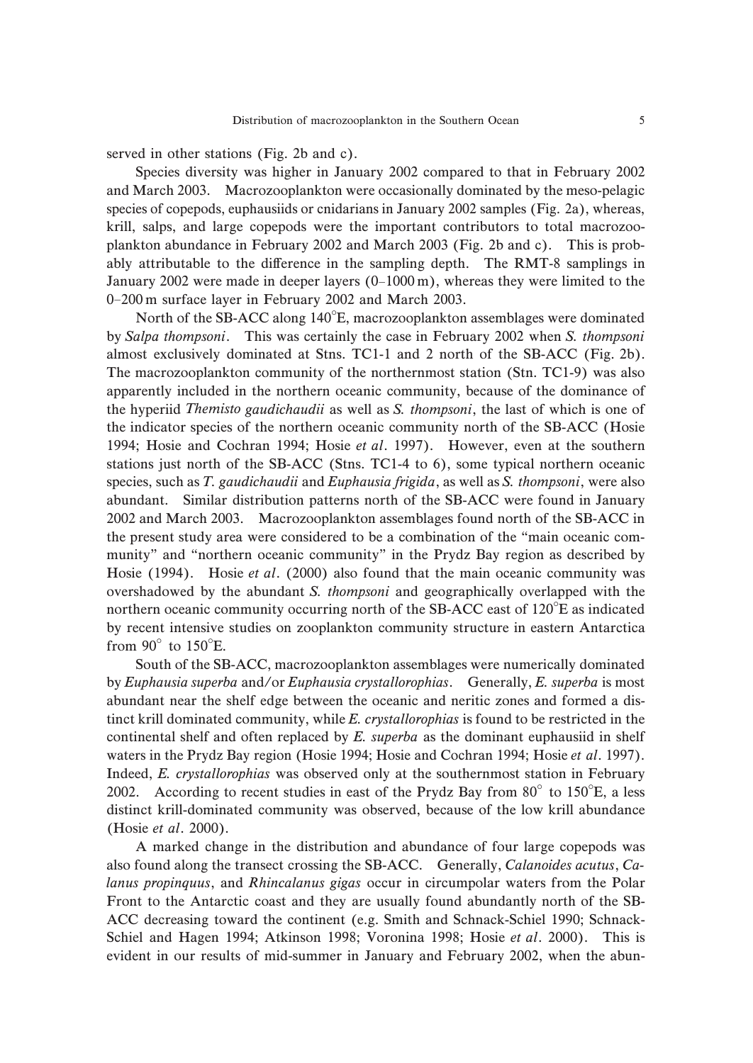served in other stations (Fig. 2b and c).

January 2002 were made in deeper layers (0-1000 m), whereas they were limited to the 0-200 m surface layer in February 2002 and March 2003. species of copepods, euphausiids or cnidarians in January 2002 samples (Fig. 2a), whereas, Species diversity was higher in January 2002 compared to that in February 2002 and March 2003. Macrozooplankton were occasionally dominated by the meso-pelagic krill, salps, and large copepods were the important contributors to total macrozooplankton abundance in February 2002 and March 2003 (Fig. 2b and c). This is probably attributable to the difference in the sampling depth. The RMT-8 samplings in

North of the SB-ACC along 140°E, macrozooplankton assemblages were dominated northern oceanic community occurring north of the SB-ACC east of 120°E as indicated from  $90^\circ$  to  $150^\circ$ E. by Salpa thompsoni. This was certainly the case in February 2002 when S. thompsoni almost exclusively dominated at Stns. TC1-1 and 2 north of the SB-ACC (Fig. 2b). The macrozooplankton community of the northernmost station (Stn. TC1-9) was also apparently included in the northern oceanic community, because of the dominance of the hyperiid Themisto gaudichaudii as well as S. thompsoni, the last of which is one of the indicator species of the northern oceanic community north of the SB-ACC (Hosie 1994; Hosie and Cochran 1994; Hosie et al. 1997). However, even at the southern stations just north of the SB-ACC (Stns. TC1-4 to 6), some typical northern oceanic species, such as T. gaudichaudii and Euphausia frigida, as well as S. thompsoni, were also abundant. Similar distribution patterns north of the SB-ACC were found in January 2002 and March 2003. Macrozooplankton assemblages found north of the SB-ACC in the present study area were considered to be a combination of the "main oceanic community" and "northern oceanic community" in the Prydz Bay region as described by Hosie (1994). Hosie et al. (2000) also found that the main oceanic community was overshadowed by the abundant S. thompsoni and geographically overlapped with the by recent intensive studies on zooplankton community structure in eastern Antarctica

2002. According to recent studies in east of the Prydz Bay from  $80^\circ$  to  $150^\circ$ E, a less waters in the Prydz Bay region (Hosie 1994; Hosie and Cochran 1994; Hosie et al. 1997). South of the SB-ACC, macrozooplankton assemblages were numerically dominated by Euphausia superba and/or Euphausia crystallorophias. Generally, E. superba is most abundant near the shelf edge between the oceanic and neritic zones and formed a distinct krill dominated community, while E. crystallorophias is found to be restricted in the continental shelf and often replaced by  $E$ . superba as the dominant euphausiid in shelf Indeed, E. crystallorophias was observed only at the southernmost station in February distinct krill-dominated community was observed, because of the low krill abundance (Hosie et al. 2000).

A marked change in the distribution and abundance of four large copepods was also found along the transect crossing the SB-ACC. Generally, Calanoides acutus, Calanus propinquus, and Rhincalanus gigas occur in circumpolar waters from the Polar Front to the Antarctic coast and they are usually found abundantly north of the SB-ACC decreasing toward the continent (e.g. Smith and Schnack-Schiel 1990; Schnack-Schiel and Hagen 1994; Atkinson 1998; Voronina 1998; Hosie et al. 2000). This is evident in our results of mid-summer in January and February 2002, when the abun-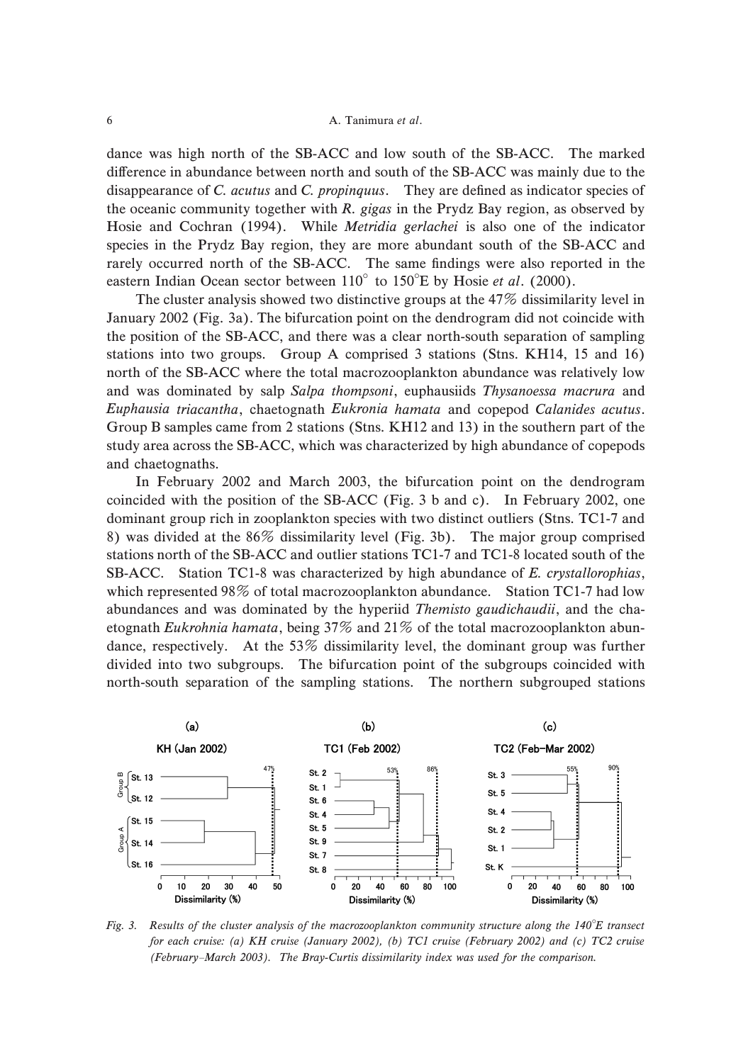### 6 **A. Tanimura et al.**

eastern Indian Ocean sector between  $110^{\circ}$  to  $150^{\circ}$ E by Hosie et al. (2000). dance was high north of the SB-ACC and low south of the SB-ACC. The marked difference in abundance between north and south of the SB-ACC was mainly due to the disappearance of  $C$ . *acutus* and  $C$ . *propinquus*. They are defined as indicator species of the oceanic community together with  $R$ . gigas in the Prydz Bay region, as observed by Hosie and Cochran (1994). While Metridia gerlachei is also one of the indicator species in the Prydz Bay region, they are more abundant south of the SB-ACC and rarely occurred north of the SB-ACC. The same findings were also reported in the

The cluster analysis showed two distinctive groups at the 47% dissimilarity level in January 2002 (Fig. 3a). The bifurcation point on the dendrogram did not coincide with the position of the SB-ACC, and there was a clear north-south separation of sampling stations into two groups. Group A comprised 3 stations (Stns. KH14, 15 and 16) north of the SB-ACC where the total macrozooplankton abundance was relatively low and was dominated by salp Salpa thompsoni, euphausiids Thysanoessa macrura and Euphausia triacantha, chaetognath Eukronia hamata and copepod Calanides acutus. Group B samples came from 2 stations (Stns. KH12 and 13) in the southern part of the study area across the SB-ACC, which was characterized by high abundance of copepods and chaetognaths.

In February 2002 and March 2003, the bifurcation point on the dendrogram coincided with the position of the SB-ACC (Fig. 3 b and c). In February 2002, one dominant group rich in zooplankton species with two distinct outliers (Stns. TC1-7 and 8) was divided at the  $86\%$  dissimilarity level (Fig. 3b). The major group comprised stations north of the SB-ACC and outlier stations TC1-7 and TC1-8 located south of the SB-ACC. Station TC1-8 was characterized by high abundance of E. crystallorophias, which represented 98% of total macrozooplankton abundance. Station TC1-7 had low abundances and was dominated by the hyperiid Themisto gaudichaudii, and the chaetognath Eukrohnia hamata, being 37% and 21% of the total macrozooplankton abundance, respectively. At the  $53\%$  dissimilarity level, the dominant group was further divided into two subgroups. The bifurcation point of the subgroups coincided with north-south separation of the sampling stations. The northern subgrouped stations



Fig. 3. Results of the cluster analysis of the macrozooplankton community structure along the 140°E transect (February-March 2003). The Bray-Curtis dissimilarity index was used for the comparison. for each cruise: (a) KH cruise (January 2002), (b) TC1 cruise (February 2002) and (c) TC2 cruise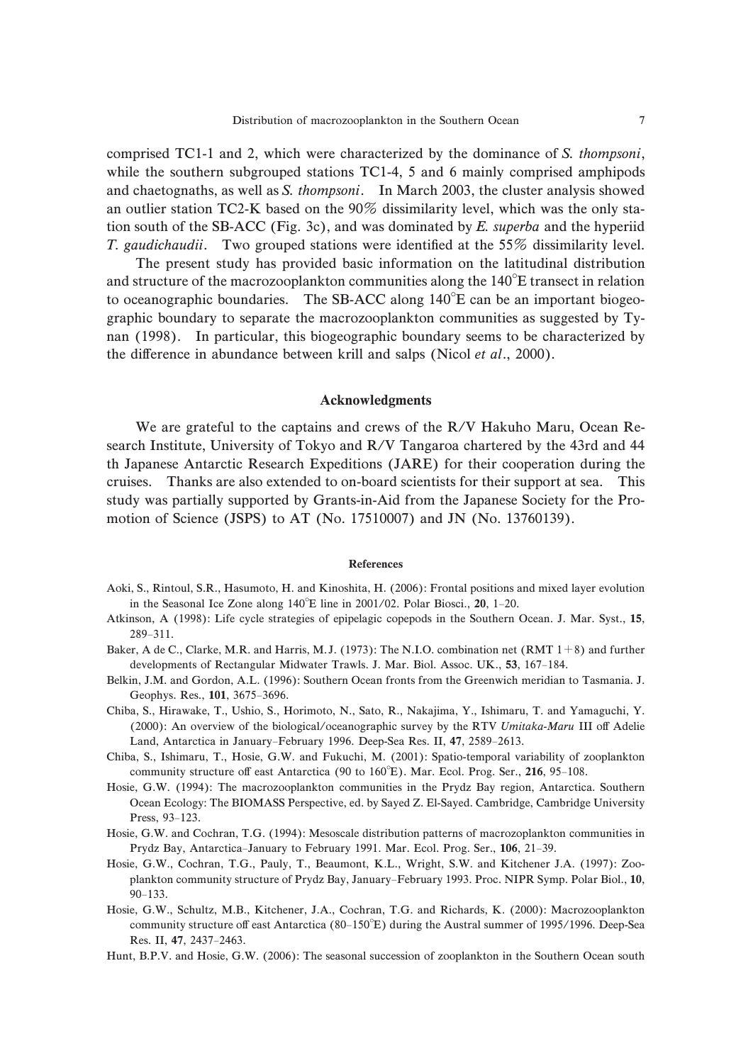comprised TC1-1 and 2, which were characterized by the dominance of S. thompsoni, while the southern subgrouped stations TC1-4, 5 and 6 mainly comprised amphipods and chaetognaths, as well as S. thompsoni. In March 2003, the cluster analysis showed an outlier station TC2-K based on the 90% dissimilarity level, which was the only station south of the SB-ACC (Fig. 3c), and was dominated by  $E$ . superba and the hyperiid T. gaudichaudii. Two grouped stations were identified at the  $55\%$  dissimilarity level.

and structure of the macrozooplankton communities along the  $140^{\circ}$ E transect in relation to oceanographic boundaries. The SB-ACC along  $140^{\circ}E$  can be an important biogeo-The present study has provided basic information on the latitudinal distribution graphic boundary to separate the macrozooplankton communities as suggested by Tynan (1998). In particular, this biogeographic boundary seems to be characterized by the difference in abundance between krill and salps (Nicol et al., 2000).

### Acknowledgments

We are grateful to the captains and crews of the R/V Hakuho Maru, Ocean Research Institute, University of Tokyo and R/V Tangaroa chartered by the 43rd and 44 th Japanese Antarctic Research Expeditions (JARE) for their cooperation during the cruises. Thanks are also extended to on-board scientists for their support at sea. This study was partially supported by Grants-in-Aid from the Japanese Society for the Promotion of Science (JSPS) to AT (No. 17510007) and JN (No. 13760139).

### References

- in the Seasonal Ice Zone along  $140^{\circ}E$  line in 2001/02. Polar Biosci., 20, 1-20. Aoki, S., Rintoul, S.R., Hasumoto, H. and Kinoshita, H. (2006): Frontal positions and mixed layer evolution
- $289 311.$ Atkinson, A (1998): Life cycle strategies of epipelagic copepods in the Southern Ocean. J. Mar. Syst., 15,
- developments of Rectangular Midwater Trawls. J. Mar. Biol. Assoc. UK., 53, 167-184. Baker, A de C., Clarke, M.R. and Harris, M.J. (1973): The N.I.O. combination net (RMT  $1+8$ ) and further
- Geophys. Res., 101, 3675-3696. Belkin, J.M. and Gordon, A.L. (1996): Southern Ocean fronts from the Greenwich meridian to Tasmania. J.
- The N.I.O. combination net (RMT 1+<br>Mar. Biol. Assoc. UK., 53, 167–184.<br>fronts from the Greenwich meridian to<br>R., Nakajima, Y., Ishimaru, T. and Y<br>ic survey by the RTV Umitaka-Maru<br>Sea Res. II, 47, 2589–2613.<br>(2001): Spatio Land, Antarctica in January-February 1996. Deep-Sea Res. II, 47, 2589-2613. Chiba, S., Hirawake, T., Ushio, S., Horimoto, N., Sato, R., Nakajima, Y., Ishimaru, T. and Yamaguchi, Y. (2000): An overview of the biological/oceanographic survey by the RTV Umitaka-Maru III off Adelie
- community structure off east Antarctica (90 to 160°E). Mar. Ecol. Prog. Ser., 216, 95-108. Chiba, S., Ishimaru, T., Hosie, G.W. and Fukuchi, M. (2001): Spatio-temporal variability of zooplankton
- Press, 93-123. Hosie, G.W. (1994): The macrozooplankton communities in the Prydz Bay region, Antarctica. Southern Ocean Ecology: The BIOMASS Perspective, ed. by Sayed Z. El-Sayed. Cambridge, Cambridge University
- Prydz Bay, Antarctica-January to February 1991. Mar. Ecol. Prog. Ser., 106, 21-39. Hosie, G.W. and Cochran, T.G. (1994): Mesoscale distribution patterns of macrozoplankton communities in
- plankton community structure of Prydz Bay, January-February 1993. Proc. NIPR Symp. Polar Biol., 10,  $90 - 133.$ Hosie, G.W., Cochran, T.G., Pauly, T., Beaumont, K.L., Wright, S.W. and Kitchener J.A. (1997): Zoo-
- community structure off east Antarctica (80-150°E) during the Austral summer of 1995/1996. Deep-Sea Res. II, 47, 2437-2463. Hosie, G.W., Schultz, M.B., Kitchener, J.A., Cochran, T.G. and Richards, K. (2000): Macrozooplankton
- Hunt, B.P.V. and Hosie, G.W. (2006): The seasonal succession of zooplankton in the Southern Ocean south